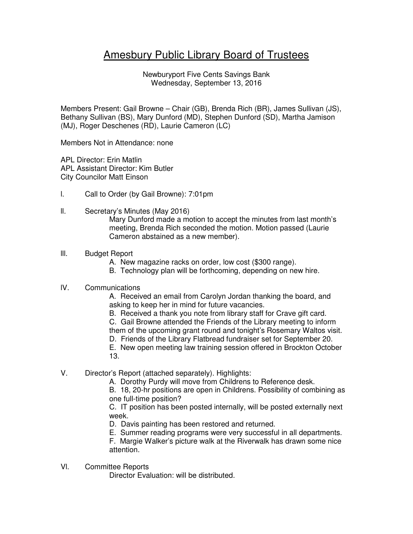# Amesbury Public Library Board of Trustees

Newburyport Five Cents Savings Bank Wednesday, September 13, 2016

Members Present: Gail Browne – Chair (GB), Brenda Rich (BR), James Sullivan (JS), Bethany Sullivan (BS), Mary Dunford (MD), Stephen Dunford (SD), Martha Jamison (MJ), Roger Deschenes (RD), Laurie Cameron (LC)

Members Not in Attendance: none

APL Director: Erin Matlin APL Assistant Director: Kim Butler City Councilor Matt Einson

- l. Call to Order (by Gail Browne): 7:01pm
- ll. Secretary's Minutes (May 2016)

Mary Dunford made a motion to accept the minutes from last month's meeting, Brenda Rich seconded the motion. Motion passed (Laurie Cameron abstained as a new member).

- lll. Budget Report
	- A. New magazine racks on order, low cost (\$300 range).
	- B. Technology plan will be forthcoming, depending on new hire.

# lV. Communications

A. Received an email from Carolyn Jordan thanking the board, and asking to keep her in mind for future vacancies.

B. Received a thank you note from library staff for Crave gift card.

C. Gail Browne attended the Friends of the Library meeting to inform them of the upcoming grant round and tonight's Rosemary Waltos visit.

D. Friends of the Library Flatbread fundraiser set for September 20.

E. New open meeting law training session offered in Brockton October

- 13.
- V. Director's Report (attached separately). Highlights:
	- A. Dorothy Purdy will move from Childrens to Reference desk.

B. 18, 20-hr positions are open in Childrens. Possibility of combining as one full-time position?

C. IT position has been posted internally, will be posted externally next week.

D. Davis painting has been restored and returned.

E. Summer reading programs were very successful in all departments.

F. Margie Walker's picture walk at the Riverwalk has drawn some nice attention.

Vl. Committee Reports

Director Evaluation: will be distributed.